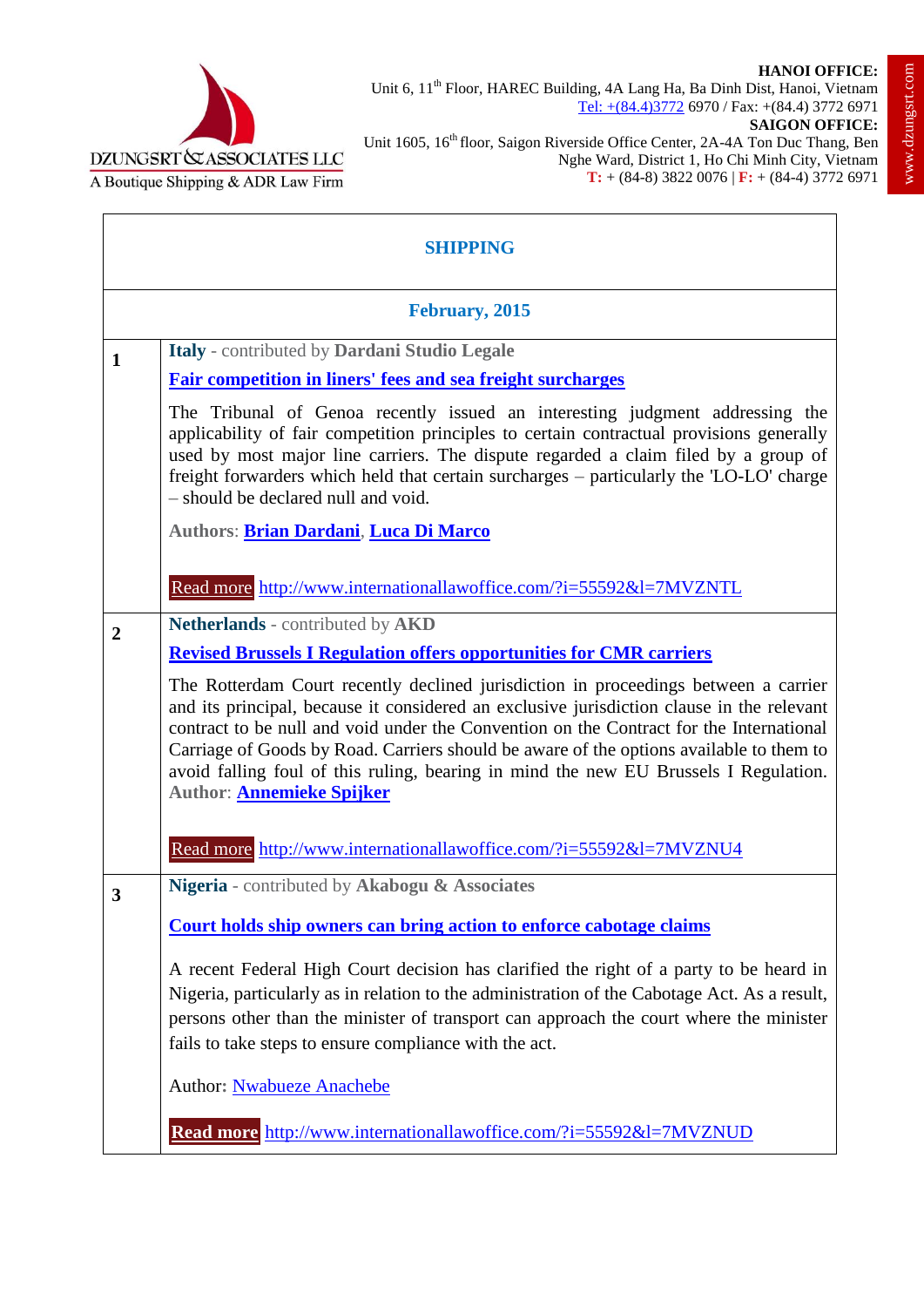## **HANOI OFFICE:**



Unit 6, 11<sup>th</sup> Floor, HAREC Building, 4A Lang Ha, Ba Dinh Dist, Hanoi, Vietnam Tel: +(84.4)3772 6970 / Fax: +(84.4) 3772 6971

Unit 1605, 16<sup>th</sup> floor, Saigon Riverside Office Center, 2A-4A Ton Duc Thang, Ben Nghe Ward, District 1, Ho Chi Minh City, Vietnam **T:** + (84-8) 3822 0076 | **F:** + (84-4) 3772 6971

| <b>SHIPPING</b>         |                                                                                                                                                                                                                                                                                                                                                                                                                                                                                                    |
|-------------------------|----------------------------------------------------------------------------------------------------------------------------------------------------------------------------------------------------------------------------------------------------------------------------------------------------------------------------------------------------------------------------------------------------------------------------------------------------------------------------------------------------|
| February, 2015          |                                                                                                                                                                                                                                                                                                                                                                                                                                                                                                    |
| $\mathbf{1}$            | Italy - contributed by Dardani Studio Legale<br><b>Fair competition in liners' fees and sea freight surcharges</b>                                                                                                                                                                                                                                                                                                                                                                                 |
|                         | The Tribunal of Genoa recently issued an interesting judgment addressing the<br>applicability of fair competition principles to certain contractual provisions generally<br>used by most major line carriers. The dispute regarded a claim filed by a group of<br>freight forwarders which held that certain surcharges - particularly the 'LO-LO' charge<br>- should be declared null and void.                                                                                                   |
|                         | Authors: Brian Dardani, Luca Di Marco                                                                                                                                                                                                                                                                                                                                                                                                                                                              |
|                         | Read more http://www.internationallawoffice.com/?i=55592&l=7MVZNTL                                                                                                                                                                                                                                                                                                                                                                                                                                 |
| $\overline{2}$          | Netherlands - contributed by AKD<br><b>Revised Brussels I Regulation offers opportunities for CMR carriers</b>                                                                                                                                                                                                                                                                                                                                                                                     |
|                         | The Rotterdam Court recently declined jurisdiction in proceedings between a carrier<br>and its principal, because it considered an exclusive jurisdiction clause in the relevant<br>contract to be null and void under the Convention on the Contract for the International<br>Carriage of Goods by Road. Carriers should be aware of the options available to them to<br>avoid falling foul of this ruling, bearing in mind the new EU Brussels I Regulation.<br>Author: <b>Annemieke Spijker</b> |
|                         | Read more http://www.internationallawoffice.com/?i=55592&l=7MVZNU4                                                                                                                                                                                                                                                                                                                                                                                                                                 |
| $\overline{\mathbf{3}}$ | Nigeria - contributed by Akabogu & Associates                                                                                                                                                                                                                                                                                                                                                                                                                                                      |
|                         | <b>Court holds ship owners can bring action to enforce cabotage claims</b>                                                                                                                                                                                                                                                                                                                                                                                                                         |
|                         | A recent Federal High Court decision has clarified the right of a party to be heard in<br>Nigeria, particularly as in relation to the administration of the Cabotage Act. As a result,<br>persons other than the minister of transport can approach the court where the minister<br>fails to take steps to ensure compliance with the act.                                                                                                                                                         |
|                         | Author: <b>Nwabueze Anachebe</b>                                                                                                                                                                                                                                                                                                                                                                                                                                                                   |
|                         | Read more http://www.internationallawoffice.com/?i=55592&l=7MVZNUD                                                                                                                                                                                                                                                                                                                                                                                                                                 |